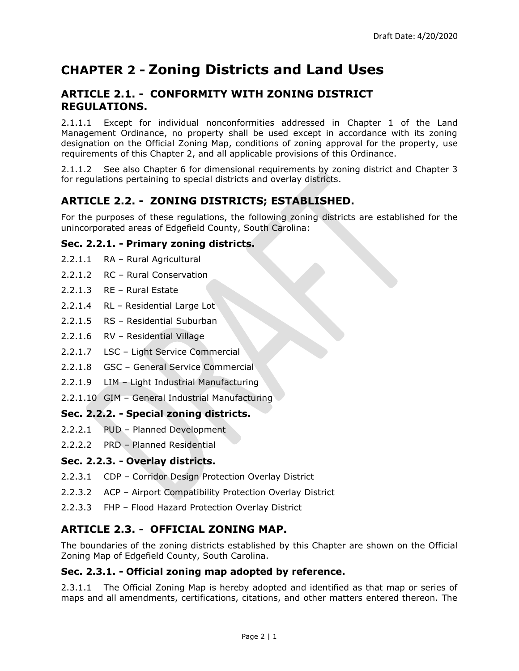# **CHAPTER 2 - Zoning Districts and Land Uses**

# **ARTICLE 2.1. - CONFORMITY WITH ZONING DISTRICT REGULATIONS.**

2.1.1.1 Except for individual nonconformities addressed in Chapter 1 of the Land Management Ordinance, no property shall be used except in accordance with its zoning designation on the Official Zoning Map, conditions of zoning approval for the property, use requirements of this Chapter 2, and all applicable provisions of this Ordinance.

2.1.1.2 See also Chapter 6 for dimensional requirements by zoning district and Chapter 3 for regulations pertaining to special districts and overlay districts.

# **ARTICLE 2.2. - ZONING DISTRICTS; ESTABLISHED.**

For the purposes of these regulations, the following zoning districts are established for the unincorporated areas of Edgefield County, South Carolina:

# **Sec. 2.2.1. - Primary zoning districts.**

- 2.2.1.1 RA Rural Agricultural
- 2.2.1.2 RC Rural Conservation
- 2.2.1.3 RE Rural Estate
- 2.2.1.4 RL Residential Large Lot
- 2.2.1.5 RS Residential Suburban
- 2.2.1.6 RV Residential Village
- 2.2.1.7 LSC Light Service Commercial
- 2.2.1.8 GSC General Service Commercial
- 2.2.1.9 LIM Light Industrial Manufacturing
- 2.2.1.10 GIM General Industrial Manufacturing

# **Sec. 2.2.2. - Special zoning districts.**

- 2.2.2.1 PUD Planned Development
- 2.2.2.2 PRD Planned Residential

# **Sec. 2.2.3. - Overlay districts.**

- 2.2.3.1 CDP Corridor Design Protection Overlay District
- 2.2.3.2 ACP Airport Compatibility Protection Overlay District
- 2.2.3.3 FHP Flood Hazard Protection Overlay District

# **ARTICLE 2.3. - OFFICIAL ZONING MAP.**

The boundaries of the zoning districts established by this Chapter are shown on the Official Zoning Map of Edgefield County, South Carolina.

# **Sec. 2.3.1. - Official zoning map adopted by reference.**

2.3.1.1 The Official Zoning Map is hereby adopted and identified as that map or series of maps and all amendments, certifications, citations, and other matters entered thereon. The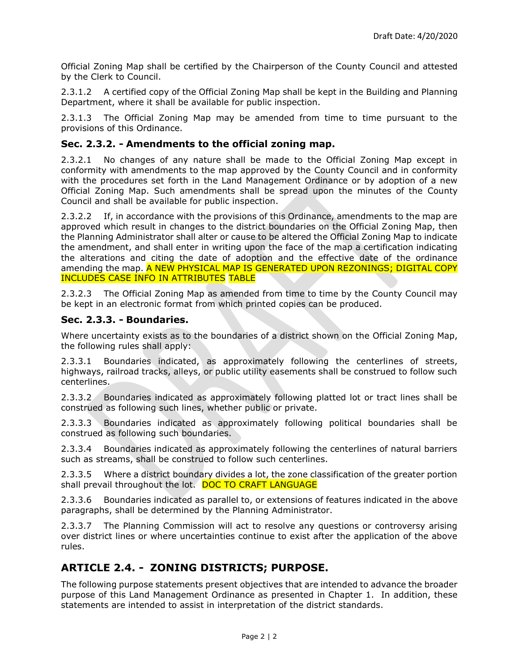Official Zoning Map shall be certified by the Chairperson of the County Council and attested by the Clerk to Council.

2.3.1.2 A certified copy of the Official Zoning Map shall be kept in the Building and Planning Department, where it shall be available for public inspection.

2.3.1.3 The Official Zoning Map may be amended from time to time pursuant to the provisions of this Ordinance.

# **Sec. 2.3.2. - Amendments to the official zoning map.**

2.3.2.1 No changes of any nature shall be made to the Official Zoning Map except in conformity with amendments to the map approved by the County Council and in conformity with the procedures set forth in the Land Management Ordinance or by adoption of a new Official Zoning Map. Such amendments shall be spread upon the minutes of the County Council and shall be available for public inspection.

2.3.2.2 If, in accordance with the provisions of this Ordinance, amendments to the map are approved which result in changes to the district boundaries on the Official Zoning Map, then the Planning Administrator shall alter or cause to be altered the Official Zoning Map to indicate the amendment, and shall enter in writing upon the face of the map a certification indicating the alterations and citing the date of adoption and the effective date of the ordinance amending the map. A NEW PHYSICAL MAP IS GENERATED UPON REZONINGS; DIGITAL COPY INCLUDES CASE INFO IN ATTRIBUTES TABLE

2.3.2.3 The Official Zoning Map as amended from time to time by the County Council may be kept in an electronic format from which printed copies can be produced.

# **Sec. 2.3.3. - Boundaries.**

Where uncertainty exists as to the boundaries of a district shown on the Official Zoning Map, the following rules shall apply:

2.3.3.1 Boundaries indicated, as approximately following the centerlines of streets, highways, railroad tracks, alleys, or public utility easements shall be construed to follow such centerlines.

2.3.3.2 Boundaries indicated as approximately following platted lot or tract lines shall be construed as following such lines, whether public or private.

2.3.3.3 Boundaries indicated as approximately following political boundaries shall be construed as following such boundaries.

2.3.3.4 Boundaries indicated as approximately following the centerlines of natural barriers such as streams, shall be construed to follow such centerlines.

2.3.3.5 Where a district boundary divides a lot, the zone classification of the greater portion shall prevail throughout the lot. DOC TO CRAFT LANGUAGE

2.3.3.6 Boundaries indicated as parallel to, or extensions of features indicated in the above paragraphs, shall be determined by the Planning Administrator.

2.3.3.7 The Planning Commission will act to resolve any questions or controversy arising over district lines or where uncertainties continue to exist after the application of the above rules.

# **ARTICLE 2.4. - ZONING DISTRICTS; PURPOSE.**

The following purpose statements present objectives that are intended to advance the broader purpose of this Land Management Ordinance as presented in Chapter 1. In addition, these statements are intended to assist in interpretation of the district standards.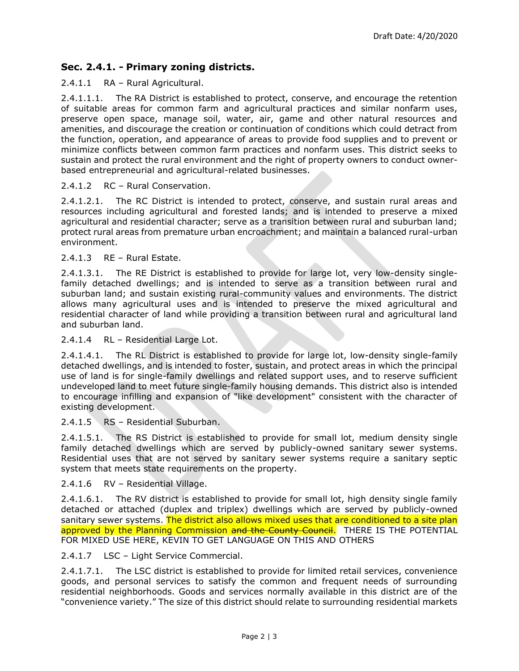# **Sec. 2.4.1. - Primary zoning districts.**

#### 2.4.1.1 RA – Rural Agricultural.

2.4.1.1.1. The RA District is established to protect, conserve, and encourage the retention of suitable areas for common farm and agricultural practices and similar nonfarm uses, preserve open space, manage soil, water, air, game and other natural resources and amenities, and discourage the creation or continuation of conditions which could detract from the function, operation, and appearance of areas to provide food supplies and to prevent or minimize conflicts between common farm practices and nonfarm uses. This district seeks to sustain and protect the rural environment and the right of property owners to conduct ownerbased entrepreneurial and agricultural-related businesses.

#### 2.4.1.2 RC – Rural Conservation.

2.4.1.2.1. The RC District is intended to protect, conserve, and sustain rural areas and resources including agricultural and forested lands; and is intended to preserve a mixed agricultural and residential character; serve as a transition between rural and suburban land; protect rural areas from premature urban encroachment; and maintain a balanced rural-urban environment.

#### 2.4.1.3 RE – Rural Estate.

2.4.1.3.1. The RE District is established to provide for large lot, very low-density singlefamily detached dwellings; and is intended to serve as a transition between rural and suburban land; and sustain existing rural-community values and environments. The district allows many agricultural uses and is intended to preserve the mixed agricultural and residential character of land while providing a transition between rural and agricultural land and suburban land.

#### 2.4.1.4 RL – Residential Large Lot.

2.4.1.4.1. The RL District is established to provide for large lot, low-density single-family detached dwellings, and is intended to foster, sustain, and protect areas in which the principal use of land is for single-family dwellings and related support uses, and to reserve sufficient undeveloped land to meet future single-family housing demands. This district also is intended to encourage infilling and expansion of "like development" consistent with the character of existing development.

#### 2.4.1.5 RS - Residential Suburban.

2.4.1.5.1. The RS District is established to provide for small lot, medium density single family detached dwellings which are served by publicly-owned sanitary sewer systems. Residential uses that are not served by sanitary sewer systems require a sanitary septic system that meets state requirements on the property.

#### 2.4.1.6 RV – Residential Village.

2.4.1.6.1. The RV district is established to provide for small lot, high density single family detached or attached (duplex and triplex) dwellings which are served by publicly-owned sanitary sewer systems. The district also allows mixed uses that are conditioned to a site plan approved by the Planning Commission and the County Council. THERE IS THE POTENTIAL FOR MIXED USE HERE, KEVIN TO GET LANGUAGE ON THIS AND OTHERS

#### 2.4.1.7 LSC – Light Service Commercial.

2.4.1.7.1. The LSC district is established to provide for limited retail services, convenience goods, and personal services to satisfy the common and frequent needs of surrounding residential neighborhoods. Goods and services normally available in this district are of the "convenience variety." The size of this district should relate to surrounding residential markets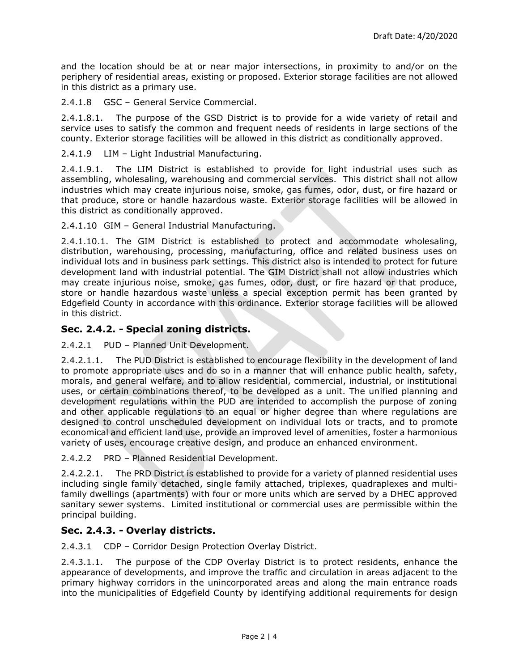and the location should be at or near major intersections, in proximity to and/or on the periphery of residential areas, existing or proposed. Exterior storage facilities are not allowed in this district as a primary use.

2.4.1.8 GSC – General Service Commercial.

2.4.1.8.1. The purpose of the GSD District is to provide for a wide variety of retail and service uses to satisfy the common and frequent needs of residents in large sections of the county. Exterior storage facilities will be allowed in this district as conditionally approved.

2.4.1.9 LIM – Light Industrial Manufacturing.

2.4.1.9.1. The LIM District is established to provide for light industrial uses such as assembling, wholesaling, warehousing and commercial services. This district shall not allow industries which may create injurious noise, smoke, gas fumes, odor, dust, or fire hazard or that produce, store or handle hazardous waste. Exterior storage facilities will be allowed in this district as conditionally approved.

2.4.1.10 GIM – General Industrial Manufacturing.

2.4.1.10.1. The GIM District is established to protect and accommodate wholesaling, distribution, warehousing, processing, manufacturing, office and related business uses on individual lots and in business park settings. This district also is intended to protect for future development land with industrial potential. The GIM District shall not allow industries which may create injurious noise, smoke, gas fumes, odor, dust, or fire hazard or that produce, store or handle hazardous waste unless a special exception permit has been granted by Edgefield County in accordance with this ordinance. Exterior storage facilities will be allowed in this district.

### **Sec. 2.4.2. - Special zoning districts.**

2.4.2.1 PUD – Planned Unit Development.

2.4.2.1.1. The PUD District is established to encourage flexibility in the development of land to promote appropriate uses and do so in a manner that will enhance public health, safety, morals, and general welfare, and to allow residential, commercial, industrial, or institutional uses, or certain combinations thereof, to be developed as a unit. The unified planning and development regulations within the PUD are intended to accomplish the purpose of zoning and other applicable regulations to an equal or higher degree than where regulations are designed to control unscheduled development on individual lots or tracts, and to promote economical and efficient land use, provide an improved level of amenities, foster a harmonious variety of uses, encourage creative design, and produce an enhanced environment.

2.4.2.2 PRD – Planned Residential Development.

2.4.2.2.1. The PRD District is established to provide for a variety of planned residential uses including single family detached, single family attached, triplexes, quadraplexes and multifamily dwellings (apartments) with four or more units which are served by a DHEC approved sanitary sewer systems. Limited institutional or commercial uses are permissible within the principal building.

#### **Sec. 2.4.3. - Overlay districts.**

2.4.3.1 CDP – Corridor Design Protection Overlay District.

2.4.3.1.1. The purpose of the CDP Overlay District is to protect residents, enhance the appearance of developments, and improve the traffic and circulation in areas adjacent to the primary highway corridors in the unincorporated areas and along the main entrance roads into the municipalities of Edgefield County by identifying additional requirements for design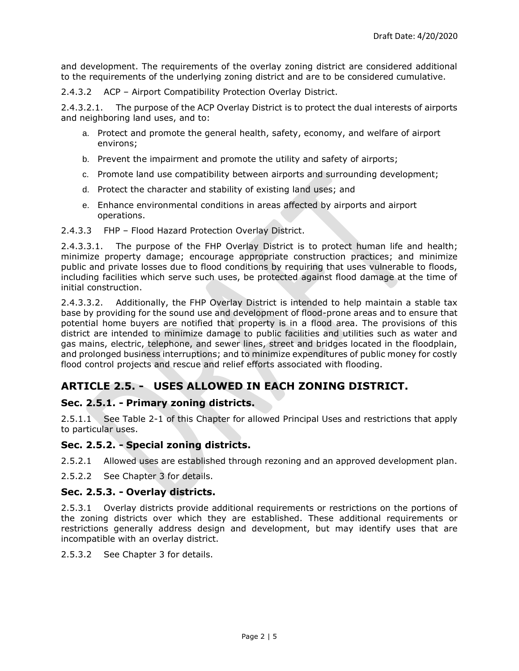and development. The requirements of the overlay zoning district are considered additional to the requirements of the underlying zoning district and are to be considered cumulative.

2.4.3.2 ACP – Airport Compatibility Protection Overlay District.

2.4.3.2.1. The purpose of the ACP Overlay District is to protect the dual interests of airports and neighboring land uses, and to:

- a. Protect and promote the general health, safety, economy, and welfare of airport environs;
- b. Prevent the impairment and promote the utility and safety of airports;
- c. Promote land use compatibility between airports and surrounding development;
- d. Protect the character and stability of existing land uses; and
- e. Enhance environmental conditions in areas affected by airports and airport operations.

#### 2.4.3.3 FHP – Flood Hazard Protection Overlay District.

2.4.3.3.1. The purpose of the FHP Overlay District is to protect human life and health; minimize property damage; encourage appropriate construction practices; and minimize public and private losses due to flood conditions by requiring that uses vulnerable to floods, including facilities which serve such uses, be protected against flood damage at the time of initial construction.

2.4.3.3.2. Additionally, the FHP Overlay District is intended to help maintain a stable tax base by providing for the sound use and development of flood-prone areas and to ensure that potential home buyers are notified that property is in a flood area. The provisions of this district are intended to minimize damage to public facilities and utilities such as water and gas mains, electric, telephone, and sewer lines, street and bridges located in the floodplain, and prolonged business interruptions; and to minimize expenditures of public money for costly flood control projects and rescue and relief efforts associated with flooding.

# **ARTICLE 2.5. - USES ALLOWED IN EACH ZONING DISTRICT.**

# **Sec. 2.5.1. - Primary zoning districts.**

2.5.1.1 See [Table 2-1](#page-6-0) of this Chapter for allowed Principal Uses and restrictions that apply to particular uses.

# **Sec. 2.5.2. - Special zoning districts.**

2.5.2.1 Allowed uses are established through rezoning and an approved development plan.

2.5.2.2 See Chapter 3 for details.

#### **Sec. 2.5.3. - Overlay districts.**

2.5.3.1 Overlay districts provide additional requirements or restrictions on the portions of the zoning districts over which they are established. These additional requirements or restrictions generally address design and development, but may identify uses that are incompatible with an overlay district.

2.5.3.2 See Chapter 3 for details.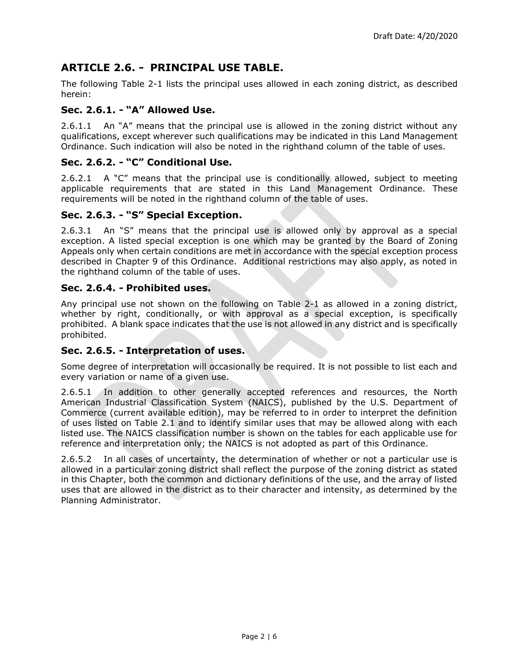# **ARTICLE 2.6. - PRINCIPAL USE TABLE.**

The following [Table 2-1](#page-6-0) lists the principal uses allowed in each zoning district, as described herein:

# **Sec. 2.6.1. - "A" Allowed Use.**

2.6.1.1 An "A" means that the principal use is allowed in the zoning district without any qualifications, except wherever such qualifications may be indicated in this Land Management Ordinance. Such indication will also be noted in the righthand column of the table of uses.

# **Sec. 2.6.2. - "C" Conditional Use.**

2.6.2.1 A  $C^{\prime}$  means that the principal use is conditionally allowed, subject to meeting applicable requirements that are stated in this Land Management Ordinance. These requirements will be noted in the righthand column of the table of uses.

# **Sec. 2.6.3. - "S" Special Exception.**

2.6.3.1 An "S" means that the principal use is allowed only by approval as a special exception. A listed special exception is one which may be granted by the Board of Zoning Appeals only when certain conditions are met in accordance with the special exception process described in Chapter 9 of this Ordinance. Additional restrictions may also apply, as noted in the righthand column of the table of uses.

### **Sec. 2.6.4. - Prohibited uses.**

Any principal use not shown on the following on [Table 2-1](#page-6-0) as allowed in a zoning district, whether by right, conditionally, or with approval as a special exception, is specifically prohibited. A blank space indicates that the use is not allowed in any district and is specifically prohibited.

#### **Sec. 2.6.5. - Interpretation of uses.**

Some degree of interpretation will occasionally be required. It is not possible to list each and every variation or name of a given use.

2.6.5.1 In addition to other generally accepted references and resources, the North American Industrial Classification System (NAICS), published by the U.S. Department of Commerce (current available edition), may be referred to in order to interpret the definition of uses listed on Table 2.1 and to identify similar uses that may be allowed along with each listed use. The NAICS classification number is shown on the tables for each applicable use for reference and interpretation only; the NAICS is not adopted as part of this Ordinance.

2.6.5.2 In all cases of uncertainty, the determination of whether or not a particular use is allowed in a particular zoning district shall reflect the purpose of the zoning district as stated in this Chapter, both the common and dictionary definitions of the use, and the array of listed uses that are allowed in the district as to their character and intensity, as determined by the Planning Administrator.